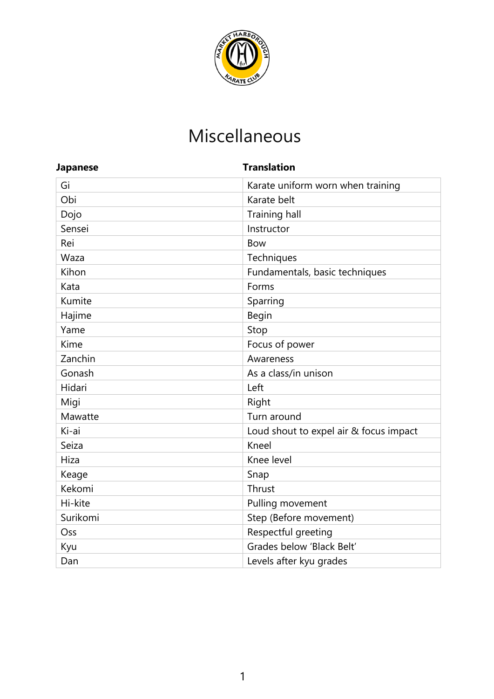

# Miscellaneous

| <b>Japanese</b> | <b>Translation</b>                     |  |
|-----------------|----------------------------------------|--|
| Gi              | Karate uniform worn when training      |  |
| Obi             | Karate belt                            |  |
| Dojo            | <b>Training hall</b>                   |  |
| Sensei          | Instructor                             |  |
| Rei             | <b>Bow</b>                             |  |
| Waza            | Techniques                             |  |
| Kihon           | Fundamentals, basic techniques         |  |
| Kata            | Forms                                  |  |
| Kumite          | Sparring                               |  |
| Hajime          | Begin                                  |  |
| Yame            | Stop                                   |  |
| Kime            | Focus of power                         |  |
| Zanchin         | Awareness                              |  |
| Gonash          | As a class/in unison                   |  |
| Hidari          | Left                                   |  |
| Migi            | Right                                  |  |
| Mawatte         | Turn around                            |  |
| Ki-ai           | Loud shout to expel air & focus impact |  |
| Seiza           | Kneel                                  |  |
| Hiza            | Knee level                             |  |
| Keage           | Snap                                   |  |
| Kekomi          | Thrust                                 |  |
| Hi-kite         | Pulling movement                       |  |
| Surikomi        | Step (Before movement)                 |  |
| Oss             | Respectful greeting                    |  |
| Kyu             | Grades below 'Black Belt'              |  |
| Dan             | Levels after kyu grades                |  |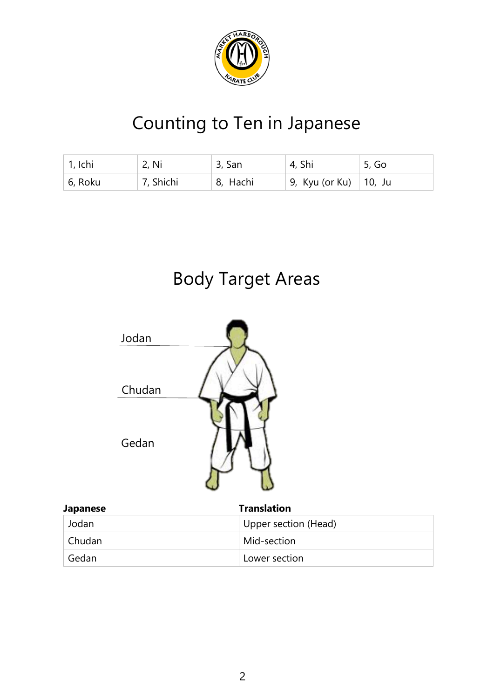

# Counting to Ten in Japanese

| $\vert$ 1, Ichi | 2, Ni     | 3, San   | 4, Shi                  | 5, Go |
|-----------------|-----------|----------|-------------------------|-------|
| 6, Roku         | 7, Shichi | 8, Hachi | 9, Kyu (or Ku)   10, Ju |       |

# Body Target Areas



| <b>Japanese</b> | <b>Translation</b>   |
|-----------------|----------------------|
| Jodan           | Upper section (Head) |
| Chudan          | Mid-section          |
| Gedan           | Lower section        |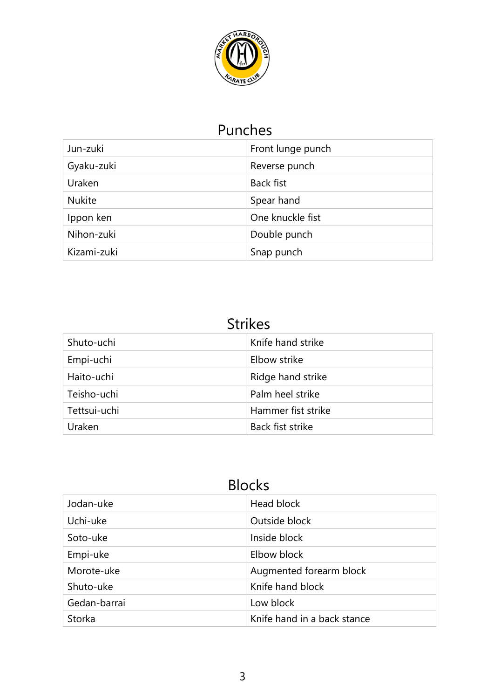

### Punches

| Jun-zuki      | Front lunge punch |
|---------------|-------------------|
| Gyaku-zuki    | Reverse punch     |
| Uraken        | <b>Back fist</b>  |
| <b>Nukite</b> | Spear hand        |
| Ippon ken     | One knuckle fist  |
| Nihon-zuki    | Double punch      |
| Kizami-zuki   | Snap punch        |

## Strikes

| Shuto-uchi   | Knife hand strike  |
|--------------|--------------------|
| Empi-uchi    | Elbow strike       |
| Haito-uchi   | Ridge hand strike  |
| Teisho-uchi  | Palm heel strike   |
| Tettsui-uchi | Hammer fist strike |
| Uraken       | Back fist strike   |

## Blocks

| Jodan-uke    | Head block                  |
|--------------|-----------------------------|
| Uchi-uke     | Outside block               |
| Soto-uke     | Inside block                |
| Empi-uke     | Elbow block                 |
| Morote-uke   | Augmented forearm block     |
| Shuto-uke    | Knife hand block            |
| Gedan-barrai | Low block                   |
| Storka       | Knife hand in a back stance |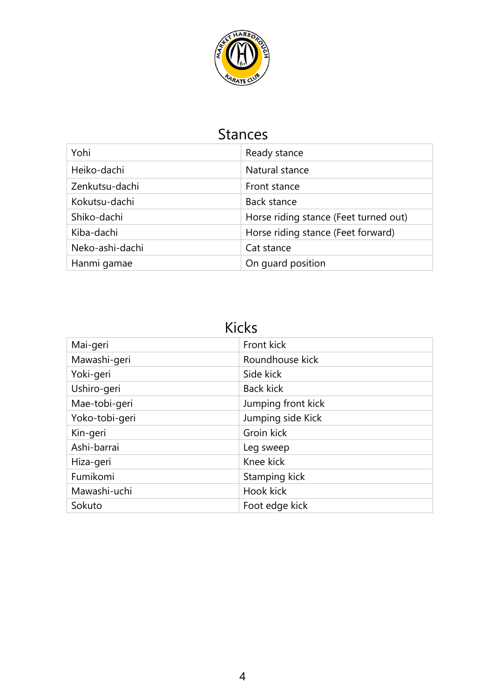

### Stances

| Yohi            | Ready stance                          |
|-----------------|---------------------------------------|
| Heiko-dachi     | Natural stance                        |
| Zenkutsu-dachi  | Front stance                          |
| Kokutsu-dachi   | Back stance                           |
| Shiko-dachi     | Horse riding stance (Feet turned out) |
| Kiba-dachi      | Horse riding stance (Feet forward)    |
| Neko-ashi-dachi | Cat stance                            |
| Hanmi gamae     | On guard position                     |

Kicks

| Mai-geri       | Front kick         |
|----------------|--------------------|
| Mawashi-geri   | Roundhouse kick    |
| Yoki-geri      | Side kick          |
| Ushiro-geri    | <b>Back kick</b>   |
| Mae-tobi-geri  | Jumping front kick |
| Yoko-tobi-geri | Jumping side Kick  |
| Kin-geri       | Groin kick         |
| Ashi-barrai    | Leg sweep          |
| Hiza-geri      | Knee kick          |
| Fumikomi       | Stamping kick      |
| Mawashi-uchi   | Hook kick          |
| Sokuto         | Foot edge kick     |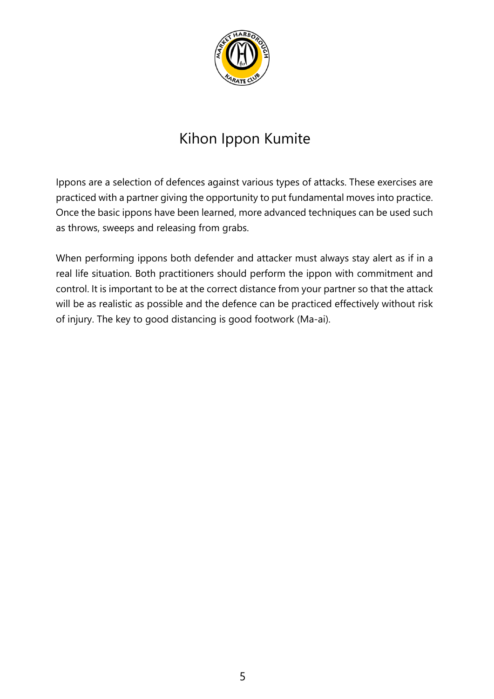

## Kihon Ippon Kumite

Ippons are a selection of defences against various types of attacks. These exercises are practiced with a partner giving the opportunity to put fundamental moves into practice. Once the basic ippons have been learned, more advanced techniques can be used such as throws, sweeps and releasing from grabs.

When performing ippons both defender and attacker must always stay alert as if in a real life situation. Both practitioners should perform the ippon with commitment and control. It is important to be at the correct distance from your partner so that the attack will be as realistic as possible and the defence can be practiced effectively without risk of injury. The key to good distancing is good footwork (Ma-ai).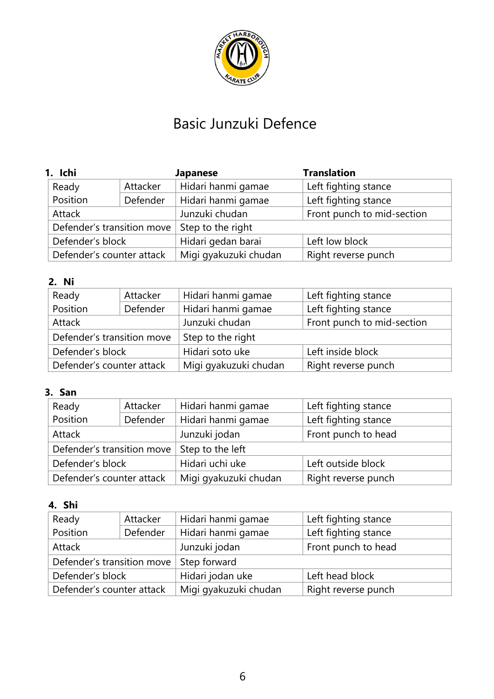

## Basic Junzuki Defence

| 1. Ichi                    |          | <b>Japanese</b>       | <b>Translation</b>         |
|----------------------------|----------|-----------------------|----------------------------|
| Ready                      | Attacker | Hidari hanmi gamae    | Left fighting stance       |
| Position                   | Defender | Hidari hanmi gamae    | Left fighting stance       |
| Attack                     |          | Junzuki chudan        | Front punch to mid-section |
| Defender's transition move |          | Step to the right     |                            |
| Defender's block           |          | Hidari gedan barai    | Left low block             |
| Defender's counter attack  |          | Migi gyakuzuki chudan | Right reverse punch        |

#### **2. Ni**

| Ready                      | Attacker | Hidari hanmi gamae    | Left fighting stance       |
|----------------------------|----------|-----------------------|----------------------------|
| Position                   | Defender | Hidari hanmi gamae    | Left fighting stance       |
| Attack                     |          | Junzuki chudan        | Front punch to mid-section |
| Defender's transition move |          | Step to the right     |                            |
| Defender's block           |          | Hidari soto uke       | Left inside block          |
| Defender's counter attack  |          | Migi gyakuzuki chudan | Right reverse punch        |

### **3. San**

| Ready                                          | Attacker | Hidari hanmi gamae    | Left fighting stance |
|------------------------------------------------|----------|-----------------------|----------------------|
| Position                                       | Defender | Hidari hanmi gamae    | Left fighting stance |
| Attack                                         |          | Junzuki jodan         | Front punch to head  |
| Defender's transition move<br>Step to the left |          |                       |                      |
| Defender's block                               |          | Hidari uchi uke       | Left outside block   |
| Defender's counter attack                      |          | Migi gyakuzuki chudan | Right reverse punch  |

#### **4. Shi**

| Ready                      | Attacker | Hidari hanmi gamae    | Left fighting stance |
|----------------------------|----------|-----------------------|----------------------|
| Position                   | Defender | Hidari hanmi gamae    | Left fighting stance |
| Attack                     |          | Junzuki jodan         | Front punch to head  |
| Defender's transition move |          | Step forward          |                      |
| Defender's block           |          | Hidari jodan uke      | Left head block      |
| Defender's counter attack  |          | Migi gyakuzuki chudan | Right reverse punch  |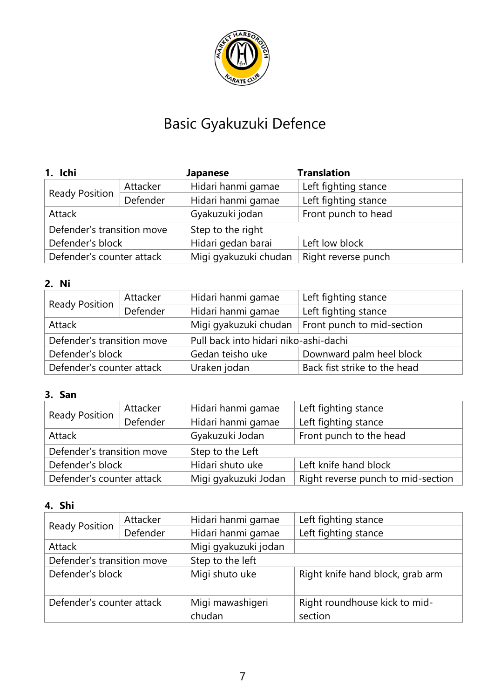

# Basic Gyakuzuki Defence

| 1. Ichi                    |          | <b>Japanese</b>       | <b>Translation</b>   |
|----------------------------|----------|-----------------------|----------------------|
| <b>Ready Position</b>      | Attacker | Hidari hanmi gamae    | Left fighting stance |
|                            | Defender | Hidari hanmi gamae    | Left fighting stance |
| Attack                     |          | Gyakuzuki jodan       | Front punch to head  |
| Defender's transition move |          | Step to the right     |                      |
| Defender's block           |          | Hidari gedan barai    | Left low block       |
| Defender's counter attack  |          | Migi gyakuzuki chudan | Right reverse punch  |

### **2. Ni**

| <b>Ready Position</b>      | Attacker | Hidari hanmi gamae                    | Left fighting stance         |
|----------------------------|----------|---------------------------------------|------------------------------|
|                            | Defender | Hidari hanmi gamae                    | Left fighting stance         |
| Attack                     |          | Migi gyakuzuki chudan                 | Front punch to mid-section   |
| Defender's transition move |          | Pull back into hidari niko-ashi-dachi |                              |
| Defender's block           |          | Gedan teisho uke                      | Downward palm heel block     |
| Defender's counter attack  |          | Uraken jodan                          | Back fist strike to the head |

### **3. San**

| <b>Ready Position</b>      | Attacker | Hidari hanmi gamae   | Left fighting stance               |
|----------------------------|----------|----------------------|------------------------------------|
|                            | Defender | Hidari hanmi gamae   | Left fighting stance               |
| Attack                     |          | Gyakuzuki Jodan      | Front punch to the head            |
| Defender's transition move |          | Step to the Left     |                                    |
| Defender's block           |          | Hidari shuto uke     | Left knife hand block              |
| Defender's counter attack  |          | Migi gyakuzuki Jodan | Right reverse punch to mid-section |

### **4. Shi**

| <b>Ready Position</b>      | Attacker | Hidari hanmi gamae   | Left fighting stance             |
|----------------------------|----------|----------------------|----------------------------------|
|                            |          |                      |                                  |
|                            | Defender | Hidari hanmi gamae   | Left fighting stance             |
|                            |          |                      |                                  |
| Attack                     |          | Migi gyakuzuki jodan |                                  |
|                            |          |                      |                                  |
| Defender's transition move |          | Step to the left     |                                  |
| Defender's block           |          | Migi shuto uke       | Right knife hand block, grab arm |
|                            |          |                      |                                  |
|                            |          |                      |                                  |
|                            |          |                      |                                  |
| Defender's counter attack  |          | Migi mawashigeri     | Right roundhouse kick to mid-    |
|                            |          |                      |                                  |
|                            |          | chudan               | section                          |
|                            |          |                      |                                  |